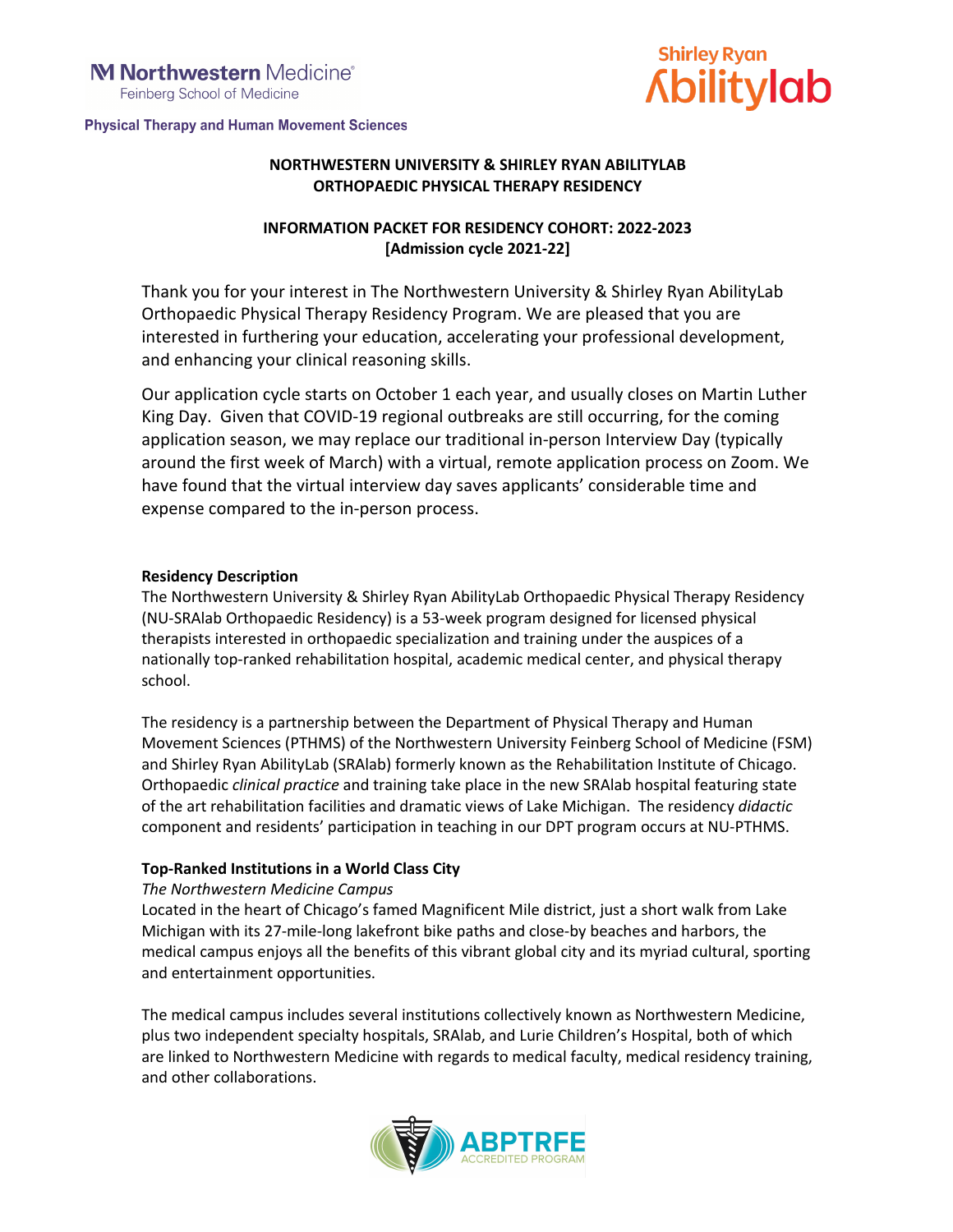**Physical Therapy and Human Movement Sciences** 



## **NORTHWESTERN UNIVERSITY & SHIRLEY RYAN ABILITYLAB ORTHOPAEDIC PHYSICAL THERAPY RESIDENCY**

## **INFORMATION PACKET FOR RESIDENCY COHORT: 2022-2023 [Admission cycle 2021-22]**

Thank you for your interest in The Northwestern University & Shirley Ryan AbilityLab Orthopaedic Physical Therapy Residency Program. We are pleased that you are interested in furthering your education, accelerating your professional development, and enhancing your clinical reasoning skills.

Our application cycle starts on October 1 each year, and usually closes on Martin Luther King Day. Given that COVID-19 regional outbreaks are still occurring, for the coming application season, we may replace our traditional in-person Interview Day (typically around the first week of March) with a virtual, remote application process on Zoom. We have found that the virtual interview day saves applicants' considerable time and expense compared to the in-person process.

## **Residency Description**

The Northwestern University & Shirley Ryan AbilityLab Orthopaedic Physical Therapy Residency (NU-SRAlab Orthopaedic Residency) is a 53-week program designed for licensed physical therapists interested in orthopaedic specialization and training under the auspices of a nationally top-ranked rehabilitation hospital, academic medical center, and physical therapy school.

The residency is a partnership between the Department of Physical Therapy and Human Movement Sciences (PTHMS) of the Northwestern University Feinberg School of Medicine (FSM) and Shirley Ryan AbilityLab (SRAlab) formerly known as the Rehabilitation Institute of Chicago. Orthopaedic *clinical practice* and training take place in the new SRAlab hospital featuring state of the art rehabilitation facilities and dramatic views of Lake Michigan. The residency *didactic* component and residents' participation in teaching in our DPT program occurs at NU-PTHMS.

## **Top-Ranked Institutions in a World Class City**

### *The Northwestern Medicine Campus*

Located in the heart of Chicago's famed Magnificent Mile district, just a short walk from Lake Michigan with its 27-mile-long lakefront bike paths and close-by beaches and harbors, the medical campus enjoys all the benefits of this vibrant global city and its myriad cultural, sporting and entertainment opportunities.

The medical campus includes several institutions collectively known as Northwestern Medicine, plus two independent specialty hospitals, SRAlab, and Lurie Children's Hospital, both of which are linked to Northwestern Medicine with regards to medical faculty, medical residency training, and other collaborations.

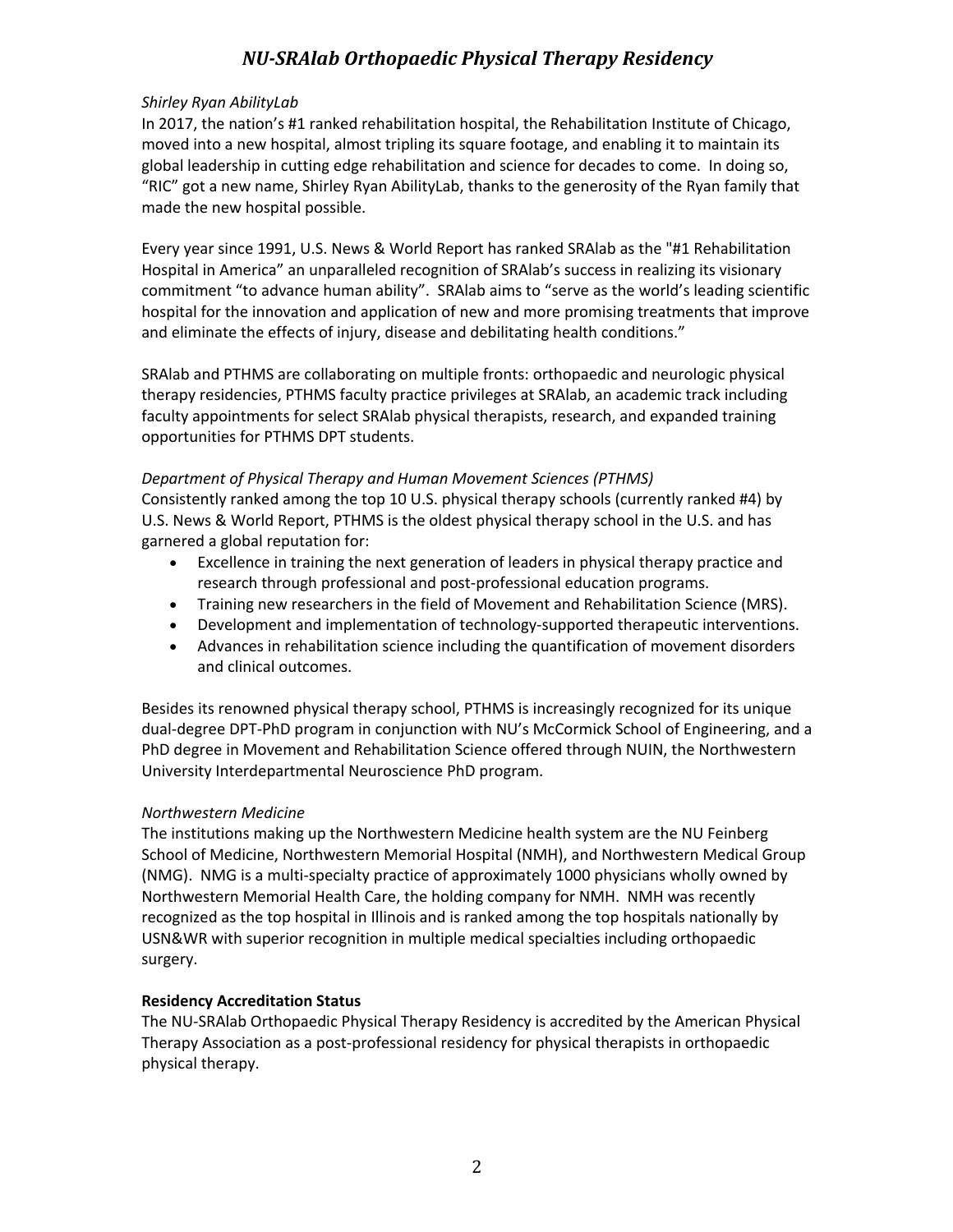### *Shirley Ryan AbilityLab*

In 2017, the nation's #1 ranked rehabilitation hospital, the Rehabilitation Institute of Chicago, moved into a new hospital, almost tripling its square footage, and enabling it to maintain its global leadership in cutting edge rehabilitation and science for decades to come. In doing so, "RIC" got a new name, Shirley Ryan AbilityLab, thanks to the generosity of the Ryan family that made the new hospital possible.

Every year since 1991, U.S. News & World Report has ranked SRAlab as the "#1 Rehabilitation Hospital in America" an unparalleled recognition of SRAlab's success in realizing its visionary commitment "to advance human ability". SRAlab aims to "serve as the world's leading scientific hospital for the innovation and application of new and more promising treatments that improve and eliminate the effects of injury, disease and debilitating health conditions."

SRAlab and PTHMS are collaborating on multiple fronts: orthopaedic and neurologic physical therapy residencies, PTHMS faculty practice privileges at SRAlab, an academic track including faculty appointments for select SRAlab physical therapists, research, and expanded training opportunities for PTHMS DPT students.

#### *Department of Physical Therapy and Human Movement Sciences (PTHMS)*

Consistently ranked among the top 10 U.S. physical therapy schools (currently ranked #4) by U.S. News & World Report, PTHMS is the oldest physical therapy school in the U.S. and has garnered a global reputation for:

- Excellence in training the next generation of leaders in physical therapy practice and research through professional and post-professional education programs.
- Training new researchers in the field of Movement and Rehabilitation Science (MRS).
- Development and implementation of technology-supported therapeutic interventions.
- Advances in rehabilitation science including the quantification of movement disorders and clinical outcomes.

Besides its renowned physical therapy school, PTHMS is increasingly recognized for its unique dual-degree DPT-PhD program in conjunction with NU's McCormick School of Engineering, and a PhD degree in Movement and Rehabilitation Science offered through NUIN, the Northwestern University Interdepartmental Neuroscience PhD program.

### *Northwestern Medicine*

The institutions making up the Northwestern Medicine health system are the NU Feinberg School of Medicine, Northwestern Memorial Hospital (NMH), and Northwestern Medical Group (NMG). NMG is a multi-specialty practice of approximately 1000 physicians wholly owned by Northwestern Memorial Health Care, the holding company for NMH. NMH was recently recognized as the top hospital in Illinois and is ranked among the top hospitals nationally by USN&WR with superior recognition in multiple medical specialties including orthopaedic surgery.

### **Residency Accreditation Status**

The NU-SRAlab Orthopaedic Physical Therapy Residency is accredited by the American Physical Therapy Association as a post-professional residency for physical therapists in orthopaedic physical therapy.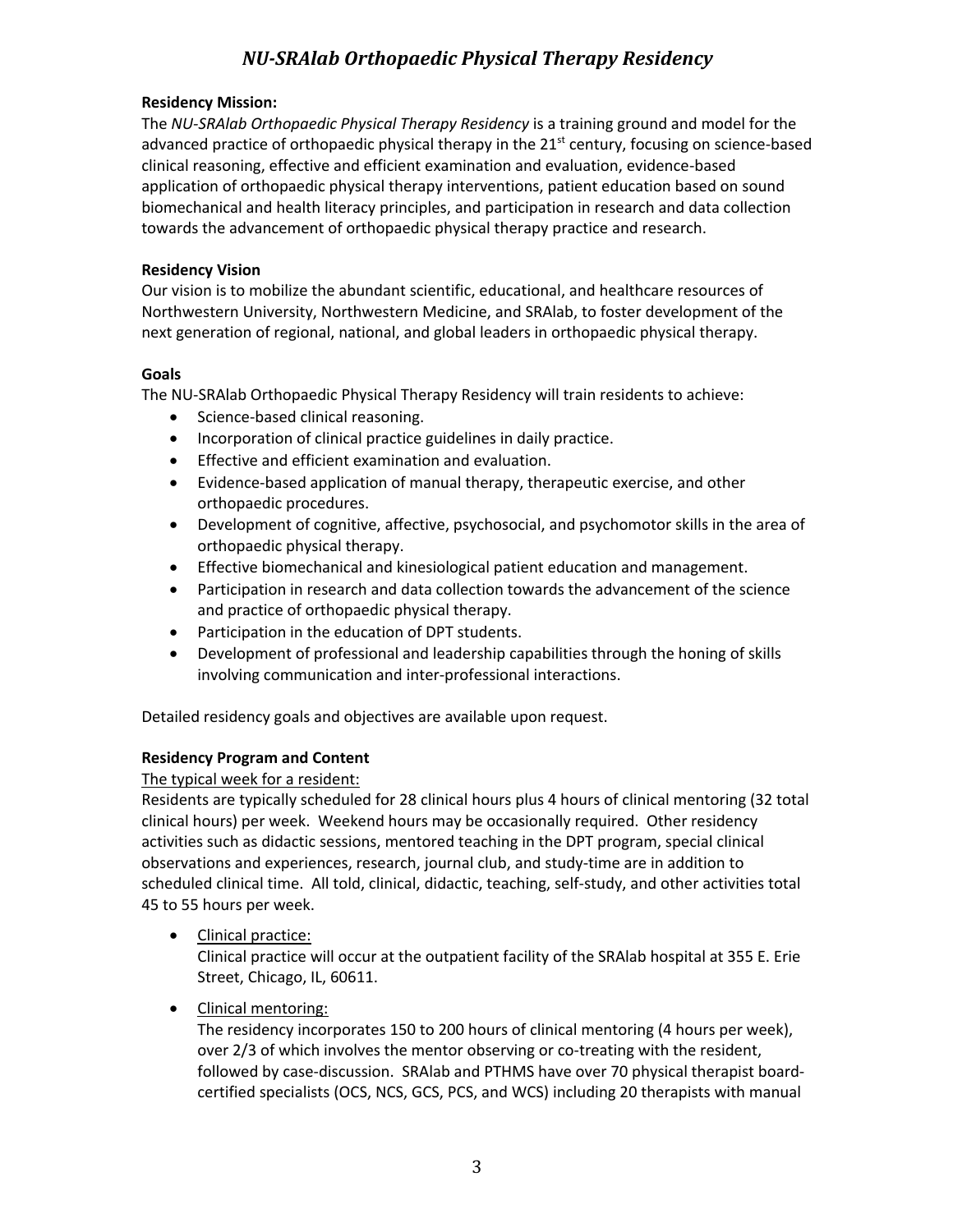#### **Residency Mission:**

The *NU-SRAlab Orthopaedic Physical Therapy Residency* is a training ground and model for the advanced practice of orthopaedic physical therapy in the 21<sup>st</sup> century, focusing on science-based clinical reasoning, effective and efficient examination and evaluation, evidence-based application of orthopaedic physical therapy interventions, patient education based on sound biomechanical and health literacy principles, and participation in research and data collection towards the advancement of orthopaedic physical therapy practice and research.

#### **Residency Vision**

Our vision is to mobilize the abundant scientific, educational, and healthcare resources of Northwestern University, Northwestern Medicine, and SRAlab, to foster development of the next generation of regional, national, and global leaders in orthopaedic physical therapy.

#### **Goals**

The NU-SRAlab Orthopaedic Physical Therapy Residency will train residents to achieve:

- Science-based clinical reasoning.
- Incorporation of clinical practice guidelines in daily practice.
- Effective and efficient examination and evaluation.
- Evidence-based application of manual therapy, therapeutic exercise, and other orthopaedic procedures.
- Development of cognitive, affective, psychosocial, and psychomotor skills in the area of orthopaedic physical therapy.
- Effective biomechanical and kinesiological patient education and management.
- Participation in research and data collection towards the advancement of the science and practice of orthopaedic physical therapy.
- Participation in the education of DPT students.
- Development of professional and leadership capabilities through the honing of skills involving communication and inter-professional interactions.

Detailed residency goals and objectives are available upon request.

### **Residency Program and Content**

The typical week for a resident:

Residents are typically scheduled for 28 clinical hours plus 4 hours of clinical mentoring (32 total clinical hours) per week. Weekend hours may be occasionally required. Other residency activities such as didactic sessions, mentored teaching in the DPT program, special clinical observations and experiences, research, journal club, and study-time are in addition to scheduled clinical time. All told, clinical, didactic, teaching, self-study, and other activities total 45 to 55 hours per week.

• Clinical practice:

Clinical practice will occur at the outpatient facility of the SRAlab hospital at 355 E. Erie Street, Chicago, IL, 60611.

• Clinical mentoring:

The residency incorporates 150 to 200 hours of clinical mentoring (4 hours per week), over 2/3 of which involves the mentor observing or co-treating with the resident, followed by case-discussion. SRAlab and PTHMS have over 70 physical therapist boardcertified specialists (OCS, NCS, GCS, PCS, and WCS) including 20 therapists with manual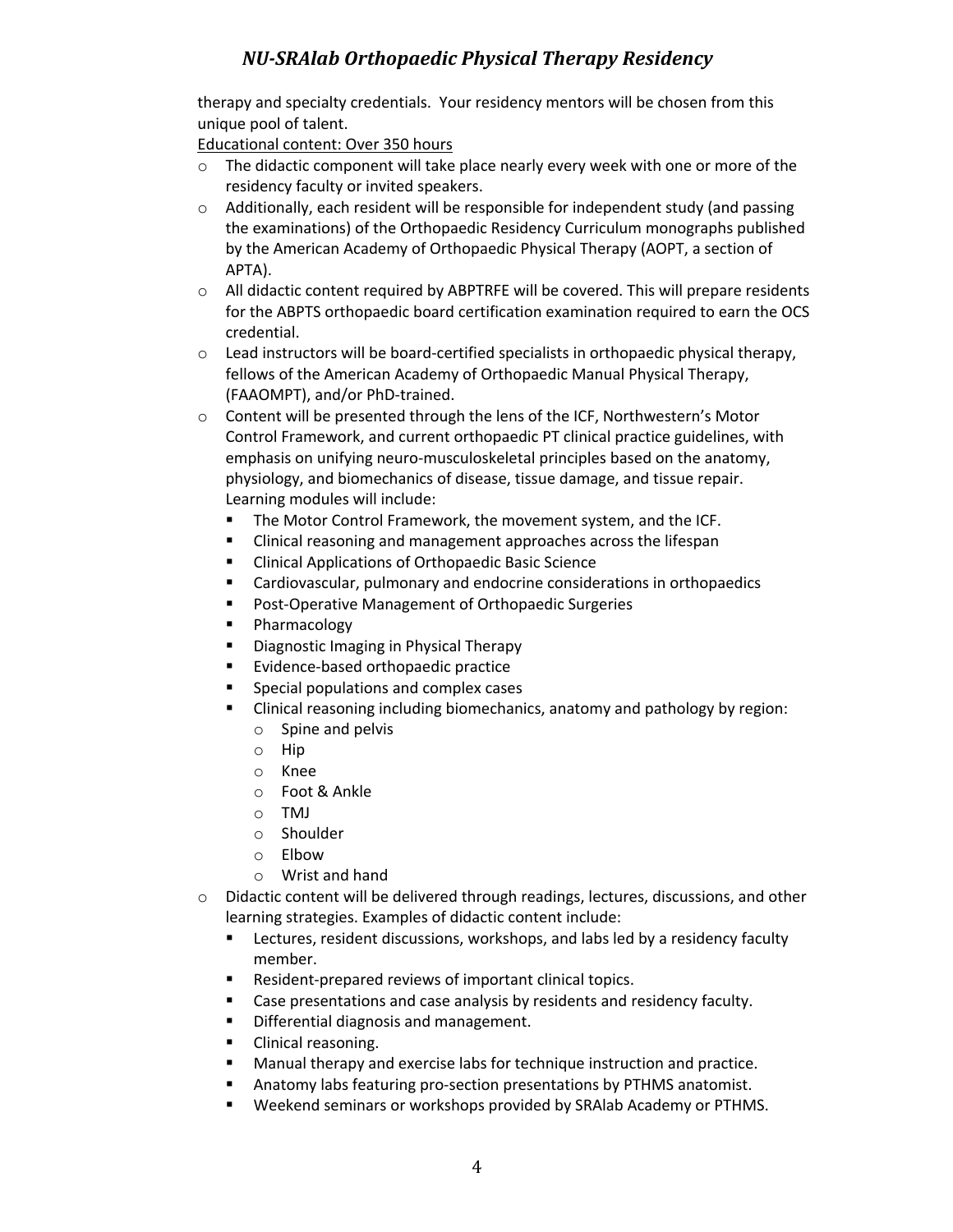therapy and specialty credentials. Your residency mentors will be chosen from this unique pool of talent.

Educational content: Over 350 hours

- $\circ$  The didactic component will take place nearly every week with one or more of the residency faculty or invited speakers.
- $\circ$  Additionally, each resident will be responsible for independent study (and passing the examinations) of the Orthopaedic Residency Curriculum monographs published by the American Academy of Orthopaedic Physical Therapy (AOPT, a section of APTA).
- o All didactic content required by ABPTRFE will be covered. This will prepare residents for the ABPTS orthopaedic board certification examination required to earn the OCS credential.
- o Lead instructors will be board-certified specialists in orthopaedic physical therapy, fellows of the American Academy of Orthopaedic Manual Physical Therapy, (FAAOMPT), and/or PhD-trained.
- o Content will be presented through the lens of the ICF, Northwestern's Motor Control Framework, and current orthopaedic PT clinical practice guidelines, with emphasis on unifying neuro-musculoskeletal principles based on the anatomy, physiology, and biomechanics of disease, tissue damage, and tissue repair. Learning modules will include:
	- **The Motor Control Framework, the movement system, and the ICF.**
	- Clinical reasoning and management approaches across the lifespan
	- Clinical Applications of Orthopaedic Basic Science
	- Cardiovascular, pulmonary and endocrine considerations in orthopaedics
	- Post-Operative Management of Orthopaedic Surgeries
	- § Pharmacology
	- Diagnostic Imaging in Physical Therapy
	- Evidence-based orthopaedic practice
	- Special populations and complex cases
	- Clinical reasoning including biomechanics, anatomy and pathology by region:
		- o Spine and pelvis
		- o Hip
		- o Knee
		- o Foot & Ankle
		- o TMJ
		- o Shoulder
		- o Elbow
		- o Wrist and hand
- o Didactic content will be delivered through readings, lectures, discussions, and other learning strategies. Examples of didactic content include:
	- Lectures, resident discussions, workshops, and labs led by a residency faculty member.
	- Resident-prepared reviews of important clinical topics.
	- Case presentations and case analysis by residents and residency faculty.
	- Differential diagnosis and management.
	- Clinical reasoning.
	- Manual therapy and exercise labs for technique instruction and practice.
	- § Anatomy labs featuring pro-section presentations by PTHMS anatomist.
	- § Weekend seminars or workshops provided by SRAlab Academy or PTHMS.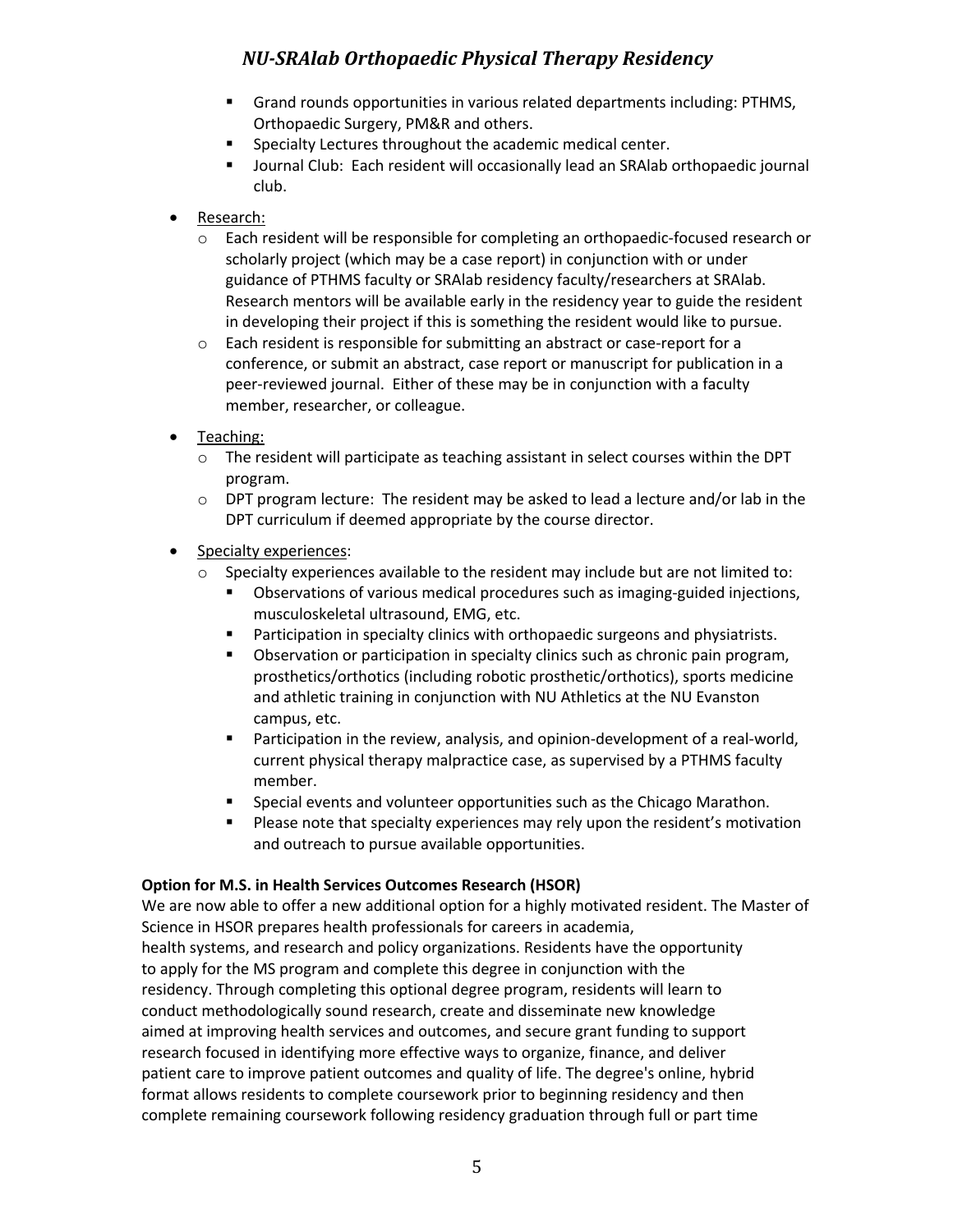- § Grand rounds opportunities in various related departments including: PTHMS, Orthopaedic Surgery, PM&R and others.
- § Specialty Lectures throughout the academic medical center.
- Journal Club: Each resident will occasionally lead an SRAlab orthopaedic journal club.
- Research:
	- o Each resident will be responsible for completing an orthopaedic-focused research or scholarly project (which may be a case report) in conjunction with or under guidance of PTHMS faculty or SRAlab residency faculty/researchers at SRAlab. Research mentors will be available early in the residency year to guide the resident in developing their project if this is something the resident would like to pursue.
	- o Each resident is responsible for submitting an abstract or case-report for a conference, or submit an abstract, case report or manuscript for publication in a peer-reviewed journal. Either of these may be in conjunction with a faculty member, researcher, or colleague.
- Teaching:
	- o The resident will participate as teaching assistant in select courses within the DPT program.
	- $\circ$  DPT program lecture: The resident may be asked to lead a lecture and/or lab in the DPT curriculum if deemed appropriate by the course director.
- Specialty experiences:
	- $\circ$  Specialty experiences available to the resident may include but are not limited to:
		- Observations of various medical procedures such as imaging-guided injections, musculoskeletal ultrasound, EMG, etc.
		- **•** Participation in specialty clinics with orthopaedic surgeons and physiatrists.
		- Observation or participation in specialty clinics such as chronic pain program, prosthetics/orthotics (including robotic prosthetic/orthotics), sports medicine and athletic training in conjunction with NU Athletics at the NU Evanston campus, etc.
		- § Participation in the review, analysis, and opinion-development of a real-world, current physical therapy malpractice case, as supervised by a PTHMS faculty member.
		- Special events and volunteer opportunities such as the Chicago Marathon.
		- Please note that specialty experiences may rely upon the resident's motivation and outreach to pursue available opportunities.

## **Option for M.S. in Health Services Outcomes Research (HSOR)**

We are now able to offer a new additional option for a highly motivated resident. The Master of Science in HSOR prepares health professionals for careers in academia, health systems, and research and policy organizations. Residents have the opportunity to apply for the MS program and complete this degree in conjunction with the

residency. Through completing this optional degree program, residents will learn to conduct methodologically sound research, create and disseminate new knowledge aimed at improving health services and outcomes, and secure grant funding to support research focused in identifying more effective ways to organize, finance, and deliver patient care to improve patient outcomes and quality of life. The degree's online, hybrid format allows residents to complete coursework prior to beginning residency and then complete remaining coursework following residency graduation through full or part time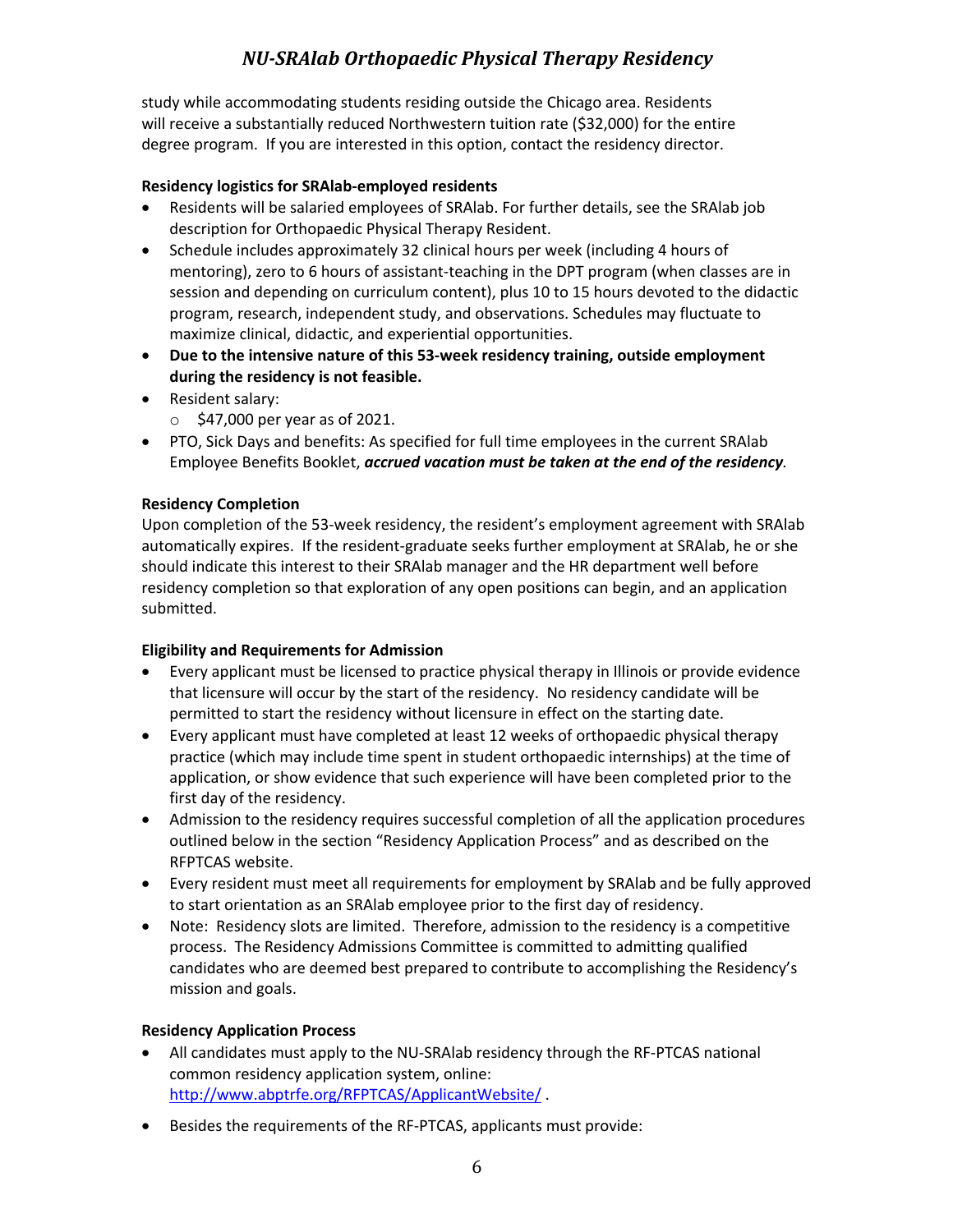study while accommodating students residing outside the Chicago area. Residents will receive a substantially reduced Northwestern tuition rate (\$32,000) for the entire degree program. If you are interested in this option, contact the residency director.

### **Residency logistics for SRAlab-employed residents**

- Residents will be salaried employees of SRAlab. For further details, see the SRAlab job description for Orthopaedic Physical Therapy Resident.
- Schedule includes approximately 32 clinical hours per week (including 4 hours of mentoring), zero to 6 hours of assistant-teaching in the DPT program (when classes are in session and depending on curriculum content), plus 10 to 15 hours devoted to the didactic program, research, independent study, and observations. Schedules may fluctuate to maximize clinical, didactic, and experiential opportunities.
- **Due to the intensive nature of this 53-week residency training, outside employment during the residency is not feasible.**
- Resident salary:
	- $\circ$  \$47,000 per year as of 2021.
- PTO, Sick Days and benefits: As specified for full time employees in the current SRAlab Employee Benefits Booklet, *accrued vacation must be taken at the end of the residency.*

### **Residency Completion**

Upon completion of the 53-week residency, the resident's employment agreement with SRAlab automatically expires. If the resident-graduate seeks further employment at SRAlab, he or she should indicate this interest to their SRAlab manager and the HR department well before residency completion so that exploration of any open positions can begin, and an application submitted.

## **Eligibility and Requirements for Admission**

- Every applicant must be licensed to practice physical therapy in Illinois or provide evidence that licensure will occur by the start of the residency. No residency candidate will be permitted to start the residency without licensure in effect on the starting date.
- Every applicant must have completed at least 12 weeks of orthopaedic physical therapy practice (which may include time spent in student orthopaedic internships) at the time of application, or show evidence that such experience will have been completed prior to the first day of the residency.
- Admission to the residency requires successful completion of all the application procedures outlined below in the section "Residency Application Process" and as described on the RFPTCAS website.
- Every resident must meet all requirements for employment by SRAlab and be fully approved to start orientation as an SRAlab employee prior to the first day of residency.
- Note: Residency slots are limited. Therefore, admission to the residency is a competitive process. The Residency Admissions Committee is committed to admitting qualified candidates who are deemed best prepared to contribute to accomplishing the Residency's mission and goals.

## **Residency Application Process**

- All candidates must apply to the NU-SRAlab residency through the RF-PTCAS national common residency application system, online: http://www.abptrfe.org/RFPTCAS/ApplicantWebsite/ .
- Besides the requirements of the RF-PTCAS, applicants must provide: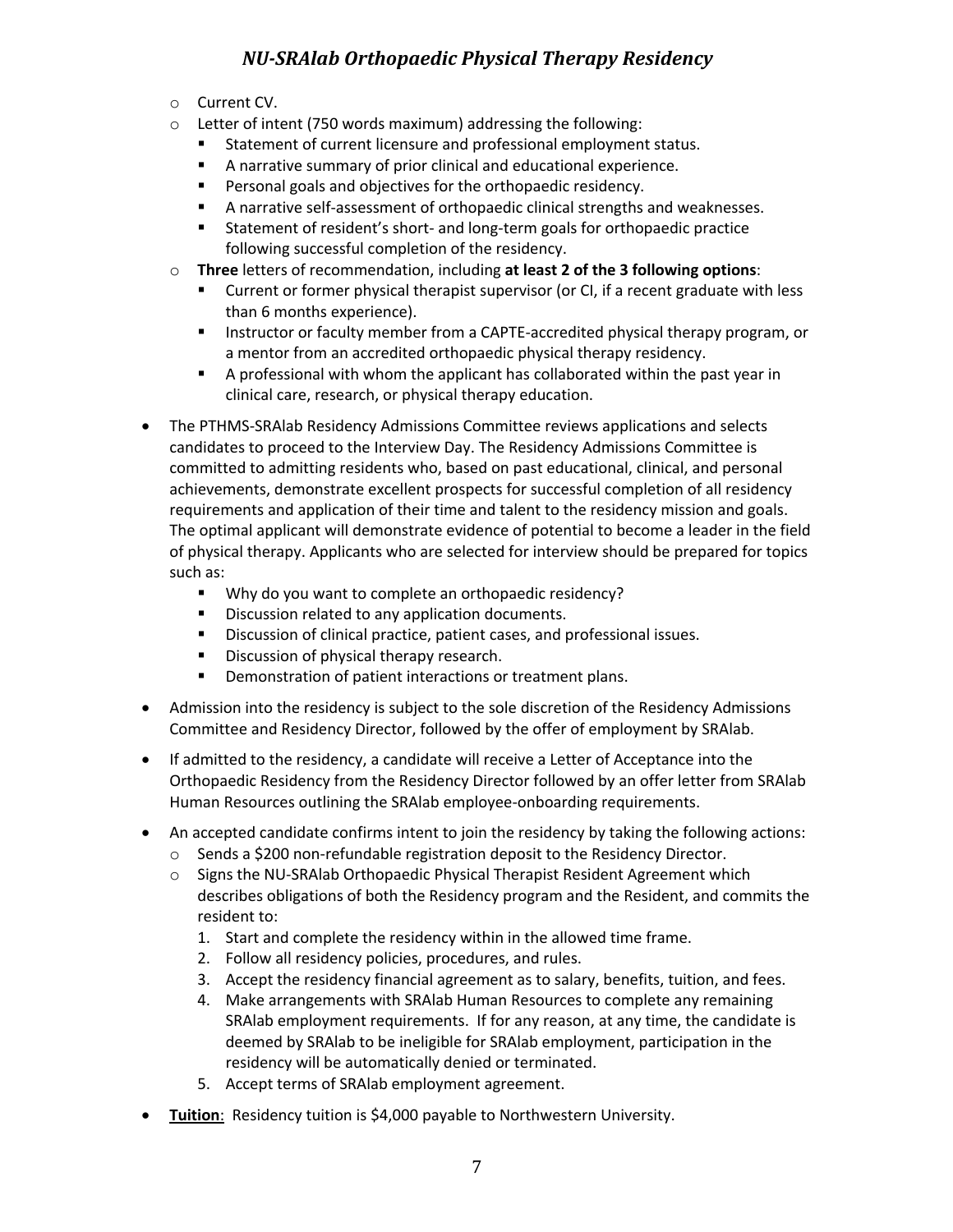- o Current CV.
- o Letter of intent (750 words maximum) addressing the following:
	- Statement of current licensure and professional employment status.
	- A narrative summary of prior clinical and educational experience.
	- Personal goals and objectives for the orthopaedic residency.
	- § A narrative self-assessment of orthopaedic clinical strengths and weaknesses.
	- Statement of resident's short- and long-term goals for orthopaedic practice following successful completion of the residency.
- o **Three** letters of recommendation, including **at least 2 of the 3 following options**:
	- § Current or former physical therapist supervisor (or CI, if a recent graduate with less than 6 months experience).
	- **EXPLOSTED INSTERS IN A Instructor or faculty member from a CAPTE-accredited physical therapy program, or** a mentor from an accredited orthopaedic physical therapy residency.
	- § A professional with whom the applicant has collaborated within the past year in clinical care, research, or physical therapy education.
- The PTHMS-SRAlab Residency Admissions Committee reviews applications and selects candidates to proceed to the Interview Day. The Residency Admissions Committee is committed to admitting residents who, based on past educational, clinical, and personal achievements, demonstrate excellent prospects for successful completion of all residency requirements and application of their time and talent to the residency mission and goals. The optimal applicant will demonstrate evidence of potential to become a leader in the field of physical therapy. Applicants who are selected for interview should be prepared for topics such as:
	- Why do you want to complete an orthopaedic residency?
	- Discussion related to any application documents.
	- Discussion of clinical practice, patient cases, and professional issues.
	- Discussion of physical therapy research.
	- Demonstration of patient interactions or treatment plans.
- Admission into the residency is subject to the sole discretion of the Residency Admissions Committee and Residency Director, followed by the offer of employment by SRAlab.
- If admitted to the residency, a candidate will receive a Letter of Acceptance into the Orthopaedic Residency from the Residency Director followed by an offer letter from SRAlab Human Resources outlining the SRAlab employee-onboarding requirements.
- An accepted candidate confirms intent to join the residency by taking the following actions:
	- o Sends a \$200 non-refundable registration deposit to the Residency Director.
	- o Signs the NU-SRAlab Orthopaedic Physical Therapist Resident Agreement which describes obligations of both the Residency program and the Resident, and commits the resident to:
		- 1. Start and complete the residency within in the allowed time frame.
		- 2. Follow all residency policies, procedures, and rules.
		- 3. Accept the residency financial agreement as to salary, benefits, tuition, and fees.
		- 4. Make arrangements with SRAlab Human Resources to complete any remaining SRAlab employment requirements. If for any reason, at any time, the candidate is deemed by SRAlab to be ineligible for SRAlab employment, participation in the residency will be automatically denied or terminated.
		- 5. Accept terms of SRAlab employment agreement.
- **Tuition**: Residency tuition is \$4,000 payable to Northwestern University.